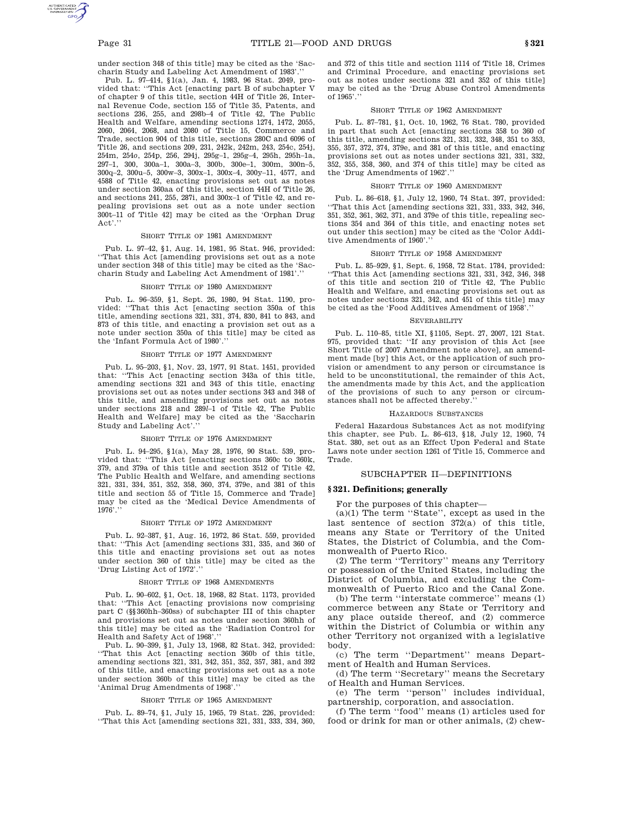under section 348 of this title] may be cited as the 'Saccharin Study and Labeling Act Amendment of 1983'.''

Pub. L. 97–414, §1(a), Jan. 4, 1983, 96 Stat. 2049, provided that: ''This Act [enacting part B of subchapter V of chapter 9 of this title, section 44H of Title 26, Internal Revenue Code, section 155 of Title 35, Patents, and sections 236, 255, and 298b–4 of Title 42, The Public Health and Welfare, amending sections 1274, 1472, 2055, 2060, 2064, 2068, and 2080 of Title 15, Commerce and Trade, section 904 of this title, sections 280C and 6096 of Title 26, and sections 209, 231, 242k, 242m, 243, 254c, 254j, 254m, 254*o*, 254p, 256, 294j, 295g–1, 295g–4, 295h, 295h–1a, 297–1, 300, 300a–1, 300a–3, 300b, 300e–1, 300m, 300n–5, 300q–2, 300u–5, 300w–3, 300x–1, 300x–4, 300y–11, 4577, and 4588 of Title 42, enacting provisions set out as notes under section 360aa of this title, section 44H of Title 26, and sections 241, 255, 287i, and 300x–1 of Title 42, and repealing provisions set out as a note under section 300t–11 of Title 42] may be cited as the 'Orphan Drug Act'.'

## SHORT TITLE OF 1981 AMENDMENT

Pub. L. 97–42, §1, Aug. 14, 1981, 95 Stat. 946, provided: ''That this Act [amending provisions set out as a note under section 348 of this title] may be cited as the 'Saccharin Study and Labeling Act Amendment of 1981'.''

#### SHORT TITLE OF 1980 AMENDMENT

Pub. L. 96–359, §1, Sept. 26, 1980, 94 Stat. 1190, provided: ''That this Act [enacting section 350a of this title, amending sections 321, 331, 374, 830, 841 to 843, and 873 of this title, and enacting a provision set out as a note under section 350a of this title] may be cited as the 'Infant Formula Act of 1980'.''

### SHORT TITLE OF 1977 AMENDMENT

Pub. L. 95–203, §1, Nov. 23, 1977, 91 Stat. 1451, provided that: ''This Act [enacting section 343a of this title, amending sections 321 and 343 of this title, enacting provisions set out as notes under sections 343 and 348 of this title, and amending provisions set out as notes under sections 218 and 289*l*–1 of Title 42, The Public Health and Welfare] may be cited as the 'Saccharin Study and Labeling Act'.

#### SHORT TITLE OF 1976 AMENDMENT

Pub. L. 94–295, §1(a), May 28, 1976, 90 Stat. 539, provided that: ''This Act [enacting sections 360c to 360k, 379, and 379a of this title and section 3512 of Title 42, The Public Health and Welfare, and amending sections 321, 331, 334, 351, 352, 358, 360, 374, 379e, and 381 of this title and section 55 of Title 15, Commerce and Trade] may be cited as the 'Medical Device Amendments of 1976'.''

#### SHORT TITLE OF 1972 AMENDMENT

Pub. L. 92–387, §1, Aug. 16, 1972, 86 Stat. 559, provided that: ''This Act [amending sections 331, 335, and 360 of this title and enacting provisions set out as notes under section 360 of this title] may be cited as the 'Drug Listing Act of 1972'.''

#### SHORT TITLE OF 1968 AMENDMENTS

Pub. L. 90–602, §1, Oct. 18, 1968, 82 Stat. 1173, provided that: ''This Act [enacting provisions now comprising part C (§§360hh–360ss) of subchapter III of this chapter and provisions set out as notes under section 360hh of this title] may be cited as the 'Radiation Control for Health and Safety Act of 1968'.''

Pub. L. 90–399, §1, July 13, 1968, 82 Stat. 342, provided: ''That this Act [enacting section 360b of this title, amending sections 321, 331, 342, 351, 352, 357, 381, and 392 of this title, and enacting provisions set out as a note under section 360b of this title] may be cited as the 'Animal Drug Amendments of 1968'.

#### SHORT TITLE OF 1965 AMENDMENT

Pub. L. 89–74, §1, July 15, 1965, 79 Stat. 226, provided: ''That this Act [amending sections 321, 331, 333, 334, 360, and 372 of this title and section 1114 of Title 18, Crimes and Criminal Procedure, and enacting provisions set out as notes under sections 321 and 352 of this title] may be cited as the 'Drug Abuse Control Amendments of 1965'.''

### SHORT TITLE OF 1962 AMENDMENT

Pub. L. 87–781, §1, Oct. 10, 1962, 76 Stat. 780, provided in part that such Act [enacting sections 358 to 360 of this title, amending sections 321, 331, 332, 348, 351 to 353, 355, 357, 372, 374, 379e, and 381 of this title, and enacting provisions set out as notes under sections 321, 331, 332, 352, 355, 358, 360, and 374 of this title] may be cited as the 'Drug Amendments of 1962'.''

### SHORT TITLE OF 1960 AMENDMENT

Pub. L. 86–618, §1, July 12, 1960, 74 Stat. 397, provided: ''That this Act [amending sections 321, 331, 333, 342, 346, 351, 352, 361, 362, 371, and 379e of this title, repealing sections 354 and 364 of this title, and enacting notes set out under this section] may be cited as the 'Color Additive Amendments of 1960'.''

#### SHORT TITLE OF 1958 AMENDMENT

Pub. L. 85–929, §1, Sept. 6, 1958, 72 Stat. 1784, provided: ''That this Act [amending sections 321, 331, 342, 346, 348 of this title and section 210 of Title 42, The Public Health and Welfare, and enacting provisions set out as notes under sections 321, 342, and 451 of this title] may be cited as the 'Food Additives Amendment of 1958'.'

#### **SEVERABILITY**

Pub. L. 110–85, title XI, §1105, Sept. 27, 2007, 121 Stat. 975, provided that: ''If any provision of this Act [see Short Title of 2007 Amendment note above], an amendment made [by] this Act, or the application of such provision or amendment to any person or circumstance is held to be unconstitutional, the remainder of this Act, the amendments made by this Act, and the application of the provisions of such to any person or circumstances shall not be affected thereby.

## HAZARDOUS SUBSTANCES

Federal Hazardous Substances Act as not modifying this chapter, see Pub. L. 86–613, §18, July 12, 1960, 74 Stat. 380, set out as an Effect Upon Federal and State Laws note under section 1261 of Title 15, Commerce and Trade.

# SUBCHAPTER II—DEFINITIONS

# **§ 321. Definitions; generally**

For the purposes of this chapter—

(a)(1) The term ''State'', except as used in the last sentence of section 372(a) of this title, means any State or Territory of the United States, the District of Columbia, and the Commonwealth of Puerto Rico.

(2) The term ''Territory'' means any Territory or possession of the United States, including the District of Columbia, and excluding the Commonwealth of Puerto Rico and the Canal Zone.

(b) The term ''interstate commerce'' means (1) commerce between any State or Territory and any place outside thereof, and (2) commerce within the District of Columbia or within any other Territory not organized with a legislative body.

(c) The term ''Department'' means Department of Health and Human Services.

(d) The term ''Secretary'' means the Secretary of Health and Human Services.

(e) The term ''person'' includes individual, partnership, corporation, and association.

(f) The term ''food'' means (1) articles used for food or drink for man or other animals, (2) chew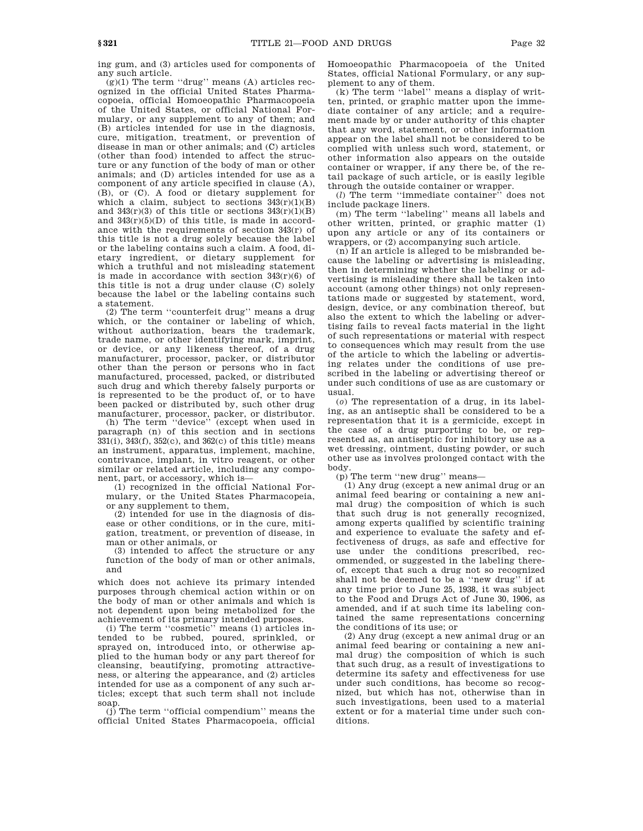ing gum, and (3) articles used for components of any such article.

 $(g)(1)$  The term "drug" means (A) articles recognized in the official United States Pharmacopoeia, official Homoeopathic Pharmacopoeia of the United States, or official National Formulary, or any supplement to any of them; and (B) articles intended for use in the diagnosis, cure, mitigation, treatment, or prevention of disease in man or other animals; and (C) articles (other than food) intended to affect the structure or any function of the body of man or other animals; and (D) articles intended for use as a component of any article specified in clause (A), (B), or (C). A food or dietary supplement for which a claim, subject to sections  $343(r)(1)(B)$ and  $343(r)(3)$  of this title or sections  $343(r)(1)(B)$ and  $343(r)(5)(D)$  of this title, is made in accordance with the requirements of section 343(r) of this title is not a drug solely because the label or the labeling contains such a claim. A food, dietary ingredient, or dietary supplement for which a truthful and not misleading statement is made in accordance with section  $343(r)(6)$  of this title is not a drug under clause (C) solely because the label or the labeling contains such a statement.

(2) The term ''counterfeit drug'' means a drug which, or the container or labeling of which, without authorization, bears the trademark, trade name, or other identifying mark, imprint, or device, or any likeness thereof, of a drug manufacturer, processor, packer, or distributor other than the person or persons who in fact manufactured, processed, packed, or distributed such drug and which thereby falsely purports or is represented to be the product of, or to have been packed or distributed by, such other drug manufacturer, processor, packer, or distributor.

(h) The term ''device'' (except when used in paragraph (n) of this section and in sections 331(i), 343(f), 352(c), and 362(c) of this title) means an instrument, apparatus, implement, machine, contrivance, implant, in vitro reagent, or other similar or related article, including any component, part, or accessory, which is—

(1) recognized in the official National Formulary, or the United States Pharmacopeia, or any supplement to them,

(2) intended for use in the diagnosis of disease or other conditions, or in the cure, mitigation, treatment, or prevention of disease, in man or other animals, or

(3) intended to affect the structure or any function of the body of man or other animals, and

which does not achieve its primary intended purposes through chemical action within or on the body of man or other animals and which is not dependent upon being metabolized for the achievement of its primary intended purposes.

(i) The term ''cosmetic'' means (1) articles intended to be rubbed, poured, sprinkled, or sprayed on, introduced into, or otherwise applied to the human body or any part thereof for cleansing, beautifying, promoting attractiveness, or altering the appearance, and (2) articles intended for use as a component of any such articles; except that such term shall not include soap.

(j) The term ''official compendium'' means the official United States Pharmacopoeia, official Homoeopathic Pharmacopoeia of the United States, official National Formulary, or any supplement to any of them.

(k) The term ''label'' means a display of written, printed, or graphic matter upon the immediate container of any article; and a requirement made by or under authority of this chapter that any word, statement, or other information appear on the label shall not be considered to be complied with unless such word, statement, or other information also appears on the outside container or wrapper, if any there be, of the retail package of such article, or is easily legible through the outside container or wrapper.

(*l*) The term ''immediate container'' does not include package liners.

(m) The term ''labeling'' means all labels and other written, printed, or graphic matter (1) upon any article or any of its containers or wrappers, or  $(2)$  accompanying such article.

(n) If an article is alleged to be misbranded because the labeling or advertising is misleading, then in determining whether the labeling or advertising is misleading there shall be taken into account (among other things) not only representations made or suggested by statement, word, design, device, or any combination thereof, but also the extent to which the labeling or advertising fails to reveal facts material in the light of such representations or material with respect to consequences which may result from the use of the article to which the labeling or advertising relates under the conditions of use prescribed in the labeling or advertising thereof or under such conditions of use as are customary or usual.

(*o*) The representation of a drug, in its labeling, as an antiseptic shall be considered to be a representation that it is a germicide, except in the case of a drug purporting to be, or represented as, an antiseptic for inhibitory use as a wet dressing, ointment, dusting powder, or such other use as involves prolonged contact with the body.

(p) The term ''new drug'' means—

(1) Any drug (except a new animal drug or an animal feed bearing or containing a new animal drug) the composition of which is such that such drug is not generally recognized, among experts qualified by scientific training and experience to evaluate the safety and effectiveness of drugs, as safe and effective for use under the conditions prescribed, recommended, or suggested in the labeling thereof, except that such a drug not so recognized shall not be deemed to be a ''new drug'' if at any time prior to June 25, 1938, it was subject to the Food and Drugs Act of June 30, 1906, as amended, and if at such time its labeling contained the same representations concerning the conditions of its use; or

(2) Any drug (except a new animal drug or an animal feed bearing or containing a new animal drug) the composition of which is such that such drug, as a result of investigations to determine its safety and effectiveness for use under such conditions, has become so recognized, but which has not, otherwise than in such investigations, been used to a material extent or for a material time under such conditions.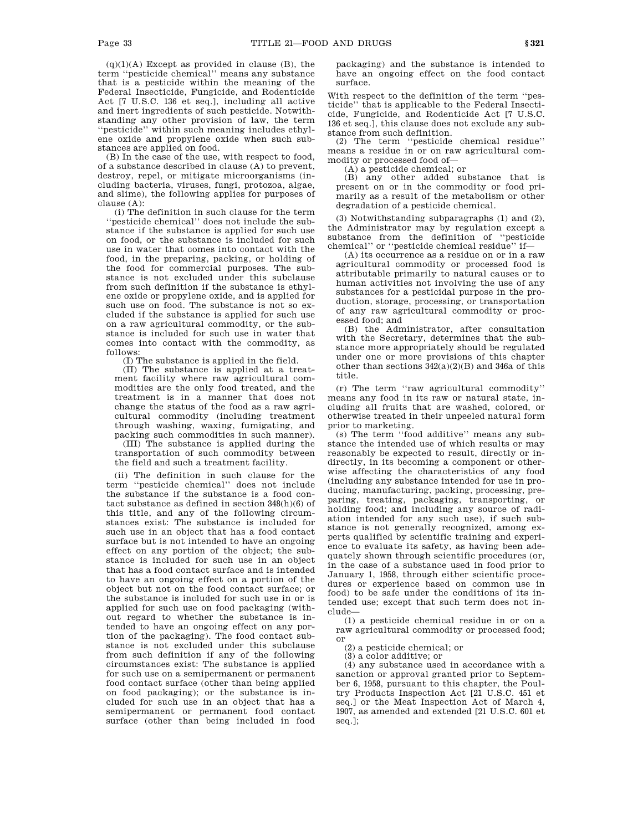$(q)(1)(A)$  Except as provided in clause (B), the term ''pesticide chemical'' means any substance that is a pesticide within the meaning of the Federal Insecticide, Fungicide, and Rodenticide Act [7 U.S.C. 136 et seq.], including all active and inert ingredients of such pesticide. Notwithstanding any other provision of law, the term ''pesticide'' within such meaning includes ethylene oxide and propylene oxide when such substances are applied on food.

(B) In the case of the use, with respect to food, of a substance described in clause (A) to prevent, destroy, repel, or mitigate microorganisms (including bacteria, viruses, fungi, protozoa, algae, and slime), the following applies for purposes of clause (A):

(i) The definition in such clause for the term ''pesticide chemical'' does not include the substance if the substance is applied for such use on food, or the substance is included for such use in water that comes into contact with the food, in the preparing, packing, or holding of the food for commercial purposes. The substance is not excluded under this subclause from such definition if the substance is ethylene oxide or propylene oxide, and is applied for such use on food. The substance is not so excluded if the substance is applied for such use on a raw agricultural commodity, or the substance is included for such use in water that comes into contact with the commodity, as follows:

(I) The substance is applied in the field.

(II) The substance is applied at a treatment facility where raw agricultural commodities are the only food treated, and the treatment is in a manner that does not change the status of the food as a raw agricultural commodity (including treatment through washing, waxing, fumigating, and packing such commodities in such manner).

(III) The substance is applied during the transportation of such commodity between the field and such a treatment facility.

(ii) The definition in such clause for the term ''pesticide chemical'' does not include the substance if the substance is a food contact substance as defined in section 348(h)(6) of this title, and any of the following circumstances exist: The substance is included for such use in an object that has a food contact surface but is not intended to have an ongoing effect on any portion of the object; the substance is included for such use in an object that has a food contact surface and is intended to have an ongoing effect on a portion of the object but not on the food contact surface; or the substance is included for such use in or is applied for such use on food packaging (without regard to whether the substance is intended to have an ongoing effect on any portion of the packaging). The food contact substance is not excluded under this subclause from such definition if any of the following circumstances exist: The substance is applied for such use on a semipermanent or permanent food contact surface (other than being applied on food packaging); or the substance is included for such use in an object that has a semipermanent or permanent food contact surface (other than being included in food

packaging) and the substance is intended to have an ongoing effect on the food contact surface.

With respect to the definition of the term ''pesticide'' that is applicable to the Federal Insecticide, Fungicide, and Rodenticide Act [7 U.S.C. 136 et seq.], this clause does not exclude any substance from such definition.

(2) The term ''pesticide chemical residue'' means a residue in or on raw agricultural commodity or processed food of—

(A) a pesticide chemical; or

(B) any other added substance that is present on or in the commodity or food primarily as a result of the metabolism or other degradation of a pesticide chemical.

(3) Notwithstanding subparagraphs (1) and (2), the Administrator may by regulation except a substance from the definition of ''pesticide chemical'' or ''pesticide chemical residue'' if—

(A) its occurrence as a residue on or in a raw agricultural commodity or processed food is attributable primarily to natural causes or to human activities not involving the use of any substances for a pesticidal purpose in the production, storage, processing, or transportation of any raw agricultural commodity or processed food; and

(B) the Administrator, after consultation with the Secretary, determines that the substance more appropriately should be regulated under one or more provisions of this chapter other than sections 342(a)(2)(B) and 346a of this title.

(r) The term ''raw agricultural commodity'' means any food in its raw or natural state, including all fruits that are washed, colored, or otherwise treated in their unpeeled natural form prior to marketing.

(s) The term ''food additive'' means any substance the intended use of which results or may reasonably be expected to result, directly or indirectly, in its becoming a component or otherwise affecting the characteristics of any food (including any substance intended for use in producing, manufacturing, packing, processing, preparing, treating, packaging, transporting, or holding food; and including any source of radiation intended for any such use), if such substance is not generally recognized, among experts qualified by scientific training and experience to evaluate its safety, as having been adequately shown through scientific procedures (or, in the case of a substance used in food prior to January 1, 1958, through either scientific procedures or experience based on common use in food) to be safe under the conditions of its intended use; except that such term does not include—

(1) a pesticide chemical residue in or on a raw agricultural commodity or processed food; or

(2) a pesticide chemical; or

(3) a color additive; or

(4) any substance used in accordance with a sanction or approval granted prior to September 6, 1958, pursuant to this chapter, the Poultry Products Inspection Act [21 U.S.C. 451 et seq.] or the Meat Inspection Act of March 4, 1907, as amended and extended [21 U.S.C. 601 et seq.];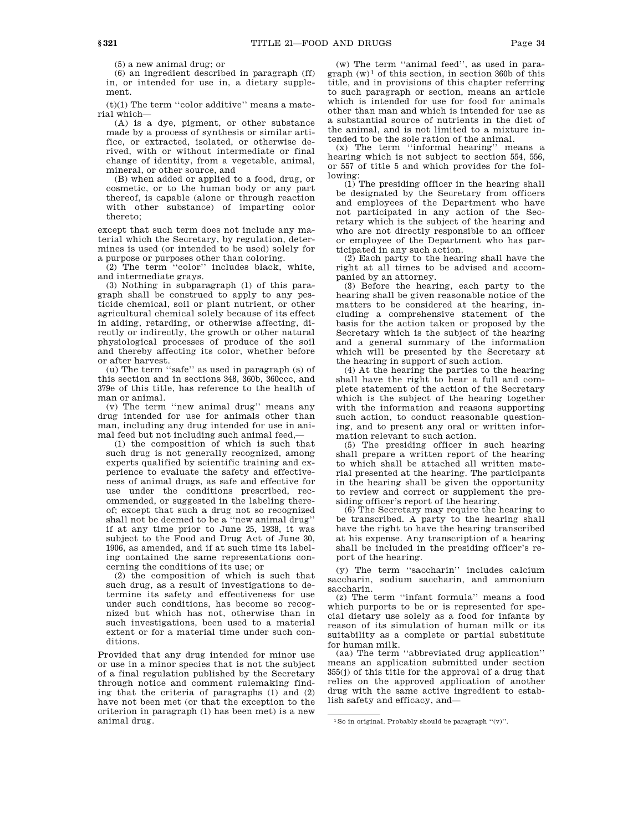(5) a new animal drug; or

(6) an ingredient described in paragraph (ff) in, or intended for use in, a dietary supplement.

 $(t)(1)$  The term "color additive" means a material which—

(A) is a dye, pigment, or other substance made by a process of synthesis or similar artifice, or extracted, isolated, or otherwise derived, with or without intermediate or final change of identity, from a vegetable, animal, mineral, or other source, and

(B) when added or applied to a food, drug, or cosmetic, or to the human body or any part thereof, is capable (alone or through reaction with other substance) of imparting color thereto;

except that such term does not include any material which the Secretary, by regulation, determines is used (or intended to be used) solely for a purpose or purposes other than coloring.

(2) The term ''color'' includes black, white, and intermediate grays.

(3) Nothing in subparagraph (1) of this paragraph shall be construed to apply to any pesticide chemical, soil or plant nutrient, or other agricultural chemical solely because of its effect in aiding, retarding, or otherwise affecting, directly or indirectly, the growth or other natural physiological processes of produce of the soil and thereby affecting its color, whether before or after harvest.

(u) The term ''safe'' as used in paragraph (s) of this section and in sections 348, 360b, 360ccc, and 379e of this title, has reference to the health of man or animal.

(v) The term ''new animal drug'' means any drug intended for use for animals other than man, including any drug intended for use in animal feed but not including such animal feed,—

(1) the composition of which is such that such drug is not generally recognized, among experts qualified by scientific training and experience to evaluate the safety and effectiveness of animal drugs, as safe and effective for use under the conditions prescribed, recommended, or suggested in the labeling thereof; except that such a drug not so recognized shall not be deemed to be a ''new animal drug'' if at any time prior to June 25, 1938, it was subject to the Food and Drug Act of June 30, 1906, as amended, and if at such time its labeling contained the same representations concerning the conditions of its use; or

(2) the composition of which is such that such drug, as a result of investigations to determine its safety and effectiveness for use under such conditions, has become so recognized but which has not, otherwise than in such investigations, been used to a material extent or for a material time under such conditions.

Provided that any drug intended for minor use or use in a minor species that is not the subject of a final regulation published by the Secretary through notice and comment rulemaking finding that the criteria of paragraphs (1) and (2) have not been met (or that the exception to the criterion in paragraph (1) has been met) is a new animal drug.

(w) The term ''animal feed'', as used in paragraph  $(w)^1$  of this section, in section 360b of this title, and in provisions of this chapter referring to such paragraph or section, means an article which is intended for use for food for animals other than man and which is intended for use as a substantial source of nutrients in the diet of the animal, and is not limited to a mixture intended to be the sole ration of the animal.

(x) The term ''informal hearing'' means a hearing which is not subject to section 554, 556, or 557 of title 5 and which provides for the following:

(1) The presiding officer in the hearing shall be designated by the Secretary from officers and employees of the Department who have not participated in any action of the Secretary which is the subject of the hearing and who are not directly responsible to an officer or employee of the Department who has participated in any such action.

(2) Each party to the hearing shall have the right at all times to be advised and accompanied by an attorney.

(3) Before the hearing, each party to the hearing shall be given reasonable notice of the matters to be considered at the hearing, including a comprehensive statement of the basis for the action taken or proposed by the Secretary which is the subject of the hearing and a general summary of the information which will be presented by the Secretary at the hearing in support of such action.

(4) At the hearing the parties to the hearing shall have the right to hear a full and complete statement of the action of the Secretary which is the subject of the hearing together with the information and reasons supporting such action, to conduct reasonable questioning, and to present any oral or written information relevant to such action.

(5) The presiding officer in such hearing shall prepare a written report of the hearing to which shall be attached all written material presented at the hearing. The participants in the hearing shall be given the opportunity to review and correct or supplement the presiding officer's report of the hearing.

(6) The Secretary may require the hearing to be transcribed. A party to the hearing shall have the right to have the hearing transcribed at his expense. Any transcription of a hearing shall be included in the presiding officer's report of the hearing.

(y) The term ''saccharin'' includes calcium saccharin, sodium saccharin, and ammonium saccharin.

(z) The term ''infant formula'' means a food which purports to be or is represented for special dietary use solely as a food for infants by reason of its simulation of human milk or its suitability as a complete or partial substitute for human milk.

(aa) The term ''abbreviated drug application'' means an application submitted under section 355(j) of this title for the approval of a drug that relies on the approved application of another drug with the same active ingredient to establish safety and efficacy, and—

 $1$ So in original. Probably should be paragraph  $''(v)$ ".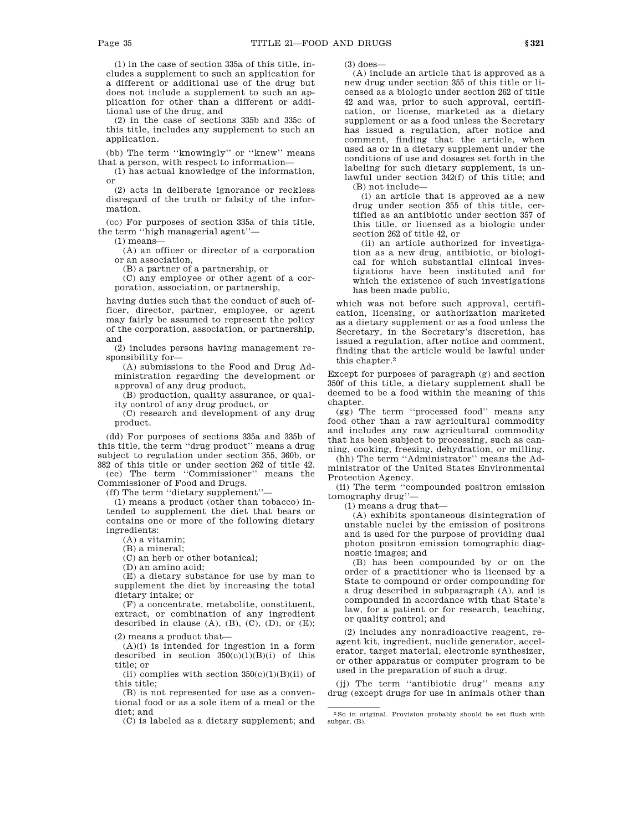(1) in the case of section 335a of this title, includes a supplement to such an application for a different or additional use of the drug but does not include a supplement to such an application for other than a different or additional use of the drug, and

(2) in the case of sections 335b and 335c of this title, includes any supplement to such an application.

(bb) The term ''knowingly'' or ''knew'' means that a person, with respect to information—

(1) has actual knowledge of the information, or

(2) acts in deliberate ignorance or reckless disregard of the truth or falsity of the information.

(cc) For purposes of section 335a of this title, the term ''high managerial agent''—

(1) means—

(A) an officer or director of a corporation or an association,

(B) a partner of a partnership, or

(C) any employee or other agent of a corporation, association, or partnership,

having duties such that the conduct of such officer, director, partner, employee, or agent may fairly be assumed to represent the policy of the corporation, association, or partnership, and

(2) includes persons having management responsibility for—

(A) submissions to the Food and Drug Administration regarding the development or approval of any drug product,

(B) production, quality assurance, or quality control of any drug product, or

(C) research and development of any drug product.

(dd) For purposes of sections 335a and 335b of this title, the term ''drug product'' means a drug subject to regulation under section 355, 360b, or 382 of this title or under section 262 of title 42. (ee) The term ''Commissioner'' means the Commissioner of Food and Drugs.

(ff) The term ''dietary supplement''—

(1) means a product (other than tobacco) intended to supplement the diet that bears or contains one or more of the following dietary ingredients:

(A) a vitamin;

(B) a mineral;

(C) an herb or other botanical;

(D) an amino acid;

(E) a dietary substance for use by man to supplement the diet by increasing the total dietary intake; or

(F) a concentrate, metabolite, constituent, extract, or combination of any ingredient described in clause  $(A)$ ,  $(B)$ ,  $(C)$ ,  $(D)$ , or  $(E)$ ;

(2) means a product that—

(A)(i) is intended for ingestion in a form described in section  $350(c)(1)(B)(i)$  of this title; or

(ii) complies with section  $350(c)(1)(B)(ii)$  of this title;

(B) is not represented for use as a conventional food or as a sole item of a meal or the diet; and

(C) is labeled as a dietary supplement; and

(3) does—

(A) include an article that is approved as a new drug under section 355 of this title or licensed as a biologic under section 262 of title 42 and was, prior to such approval, certification, or license, marketed as a dietary supplement or as a food unless the Secretary has issued a regulation, after notice and comment, finding that the article, when used as or in a dietary supplement under the conditions of use and dosages set forth in the labeling for such dietary supplement, is unlawful under section 342(f) of this title; and (B) not include—

(i) an article that is approved as a new drug under section 355 of this title, certified as an antibiotic under section 357 of this title, or licensed as a biologic under section 262 of title 42, or

(ii) an article authorized for investigation as a new drug, antibiotic, or biological for which substantial clinical investigations have been instituted and for which the existence of such investigations has been made public,

which was not before such approval, certification, licensing, or authorization marketed as a dietary supplement or as a food unless the Secretary, in the Secretary's discretion, has issued a regulation, after notice and comment, finding that the article would be lawful under this chapter.2

Except for purposes of paragraph (g) and section 350f of this title, a dietary supplement shall be deemed to be a food within the meaning of this chapter.

(gg) The term ''processed food'' means any food other than a raw agricultural commodity and includes any raw agricultural commodity that has been subject to processing, such as canning, cooking, freezing, dehydration, or milling.

(hh) The term ''Administrator'' means the Administrator of the United States Environmental Protection Agency.

(ii) The term ''compounded positron emission tomography drug''—

(1) means a drug that—

(A) exhibits spontaneous disintegration of unstable nuclei by the emission of positrons and is used for the purpose of providing dual photon positron emission tomographic diagnostic images; and

(B) has been compounded by or on the order of a practitioner who is licensed by a State to compound or order compounding for a drug described in subparagraph (A), and is compounded in accordance with that State's law, for a patient or for research, teaching, or quality control; and

(2) includes any nonradioactive reagent, reagent kit, ingredient, nuclide generator, accelerator, target material, electronic synthesizer, or other apparatus or computer program to be used in the preparation of such a drug.

(jj) The term ''antibiotic drug'' means any drug (except drugs for use in animals other than

<sup>2</sup>So in original. Provision probably should be set flush with subpar. (B).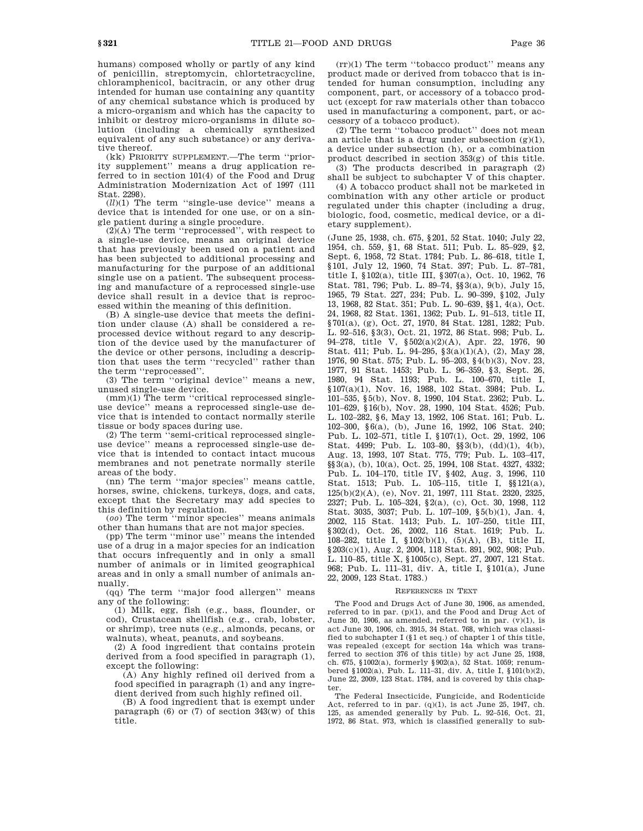humans) composed wholly or partly of any kind of penicillin, streptomycin, chlortetracycline, chloramphenicol, bacitracin, or any other drug intended for human use containing any quantity of any chemical substance which is produced by a micro-organism and which has the capacity to inhibit or destroy micro-organisms in dilute solution (including a chemically synthesized equivalent of any such substance) or any derivative thereof.

(kk) PRIORITY SUPPLEMENT.—The term ''priority supplement'' means a drug application referred to in section 101(4) of the Food and Drug Administration Modernization Act of 1997 (111 Stat. 2298).

(*ll*)(1) The term ''single-use device'' means a device that is intended for one use, or on a single patient during a single procedure.

(2)(A) The term ''reprocessed'', with respect to a single-use device, means an original device that has previously been used on a patient and has been subjected to additional processing and manufacturing for the purpose of an additional single use on a patient. The subsequent processing and manufacture of a reprocessed single-use device shall result in a device that is reprocessed within the meaning of this definition.

(B) A single-use device that meets the definition under clause (A) shall be considered a reprocessed device without regard to any description of the device used by the manufacturer of the device or other persons, including a description that uses the term ''recycled'' rather than the term ''reprocessed''.

(3) The term ''original device'' means a new, unused single-use device.

(mm)(1) The term ''critical reprocessed singleuse device'' means a reprocessed single-use device that is intended to contact normally sterile tissue or body spaces during use.

(2) The term  $\ddot{\cdot}$ semi-critical reprocessed singleuse device'' means a reprocessed single-use device that is intended to contact intact mucous membranes and not penetrate normally sterile areas of the body.

(nn) The term ''major species'' means cattle, horses, swine, chickens, turkeys, dogs, and cats, except that the Secretary may add species to this definition by regulation.

(*oo*) The term ''minor species'' means animals other than humans that are not major species.

(pp) The term ''minor use'' means the intended use of a drug in a major species for an indication that occurs infrequently and in only a small number of animals or in limited geographical areas and in only a small number of animals annually.

(qq) The term ''major food allergen'' means any of the following:

(1) Milk, egg, fish (e.g., bass, flounder, or cod), Crustacean shellfish (e.g., crab, lobster, or shrimp), tree nuts (e.g., almonds, pecans, or walnuts), wheat, peanuts, and soybeans.

(2) A food ingredient that contains protein derived from a food specified in paragraph (1), except the following:

(A) Any highly refined oil derived from a food specified in paragraph (1) and any ingredient derived from such highly refined oil.

(B) A food ingredient that is exempt under paragraph  $(6)$  or  $(7)$  of section  $343(w)$  of this title.

(rr)(1) The term ''tobacco product'' means any product made or derived from tobacco that is intended for human consumption, including any component, part, or accessory of a tobacco product (except for raw materials other than tobacco used in manufacturing a component, part, or accessory of a tobacco product).

(2) The term ''tobacco product'' does not mean an article that is a drug under subsection  $(g)(1)$ , a device under subsection (h), or a combination product described in section 353(g) of this title.

(3) The products described in paragraph (2) shall be subject to subchapter V of this chapter.

(4) A tobacco product shall not be marketed in combination with any other article or product regulated under this chapter (including a drug, biologic, food, cosmetic, medical device, or a dietary supplement).

(June 25, 1938, ch. 675, §201, 52 Stat. 1040; July 22, 1954, ch. 559, §1, 68 Stat. 511; Pub. L. 85–929, §2, Sept. 6, 1958, 72 Stat. 1784; Pub. L. 86–618, title I, §101, July 12, 1960, 74 Stat. 397; Pub. L. 87–781, title I, §102(a), title III, §307(a), Oct. 10, 1962, 76 Stat. 781, 796; Pub. L. 89–74, §§3(a), 9(b), July 15, 1965, 79 Stat. 227, 234; Pub. L. 90–399, §102, July 13, 1968, 82 Stat. 351; Pub. L. 90–639, §§1, 4(a), Oct. 24, 1968, 82 Stat. 1361, 1362; Pub. L. 91–513, title II, §701(a), (g), Oct. 27, 1970, 84 Stat. 1281, 1282; Pub. L. 92–516, §3(3), Oct. 21, 1972, 86 Stat. 998; Pub. L. 94–278, title V, §502(a)(2)(A), Apr. 22, 1976, 90 Stat. 411; Pub. L. 94–295, §3(a)(1)(A), (2), May 28, 1976, 90 Stat. 575; Pub. L. 95–203, §4(b)(3), Nov. 23, 1977, 91 Stat. 1453; Pub. L. 96–359, §3, Sept. 26, 1980, 94 Stat. 1193; Pub. L. 100–670, title I, §107(a)(1), Nov. 16, 1988, 102 Stat. 3984; Pub. L. 101–535, §5(b), Nov. 8, 1990, 104 Stat. 2362; Pub. L. 101–629, §16(b), Nov. 28, 1990, 104 Stat. 4526; Pub. L. 102–282, §6, May 13, 1992, 106 Stat. 161; Pub. L. 102–300, §6(a), (b), June 16, 1992, 106 Stat. 240; Pub. L. 102–571, title I, §107(1), Oct. 29, 1992, 106 Stat. 4499; Pub. L. 103–80, §§3(b), (dd)(1), 4(b), Aug. 13, 1993, 107 Stat. 775, 779; Pub. L. 103–417, §§3(a), (b), 10(a), Oct. 25, 1994, 108 Stat. 4327, 4332; Pub. L. 104–170, title IV, §402, Aug. 3, 1996, 110 Stat. 1513; Pub. L. 105–115, title I, §§121(a), 125(b)(2)(A), (e), Nov. 21, 1997, 111 Stat. 2320, 2325, 2327; Pub. L. 105–324, §2(a), (c), Oct. 30, 1998, 112 Stat. 3035, 3037; Pub. L. 107–109, §5(b)(1), Jan. 4, 2002, 115 Stat. 1413; Pub. L. 107–250, title III, §302(d), Oct. 26, 2002, 116 Stat. 1619; Pub. L. 108–282, title I, §102(b)(1), (5)(A), (B), title II, §203(c)(1), Aug. 2, 2004, 118 Stat. 891, 902, 908; Pub. L. 110–85, title X, §1005(c), Sept. 27, 2007, 121 Stat. 968; Pub. L. 111–31, div. A, title I, §101(a), June 22, 2009, 123 Stat. 1783.)

#### REFERENCES IN TEXT

The Food and Drugs Act of June 30, 1906, as amended, referred to in par. (p)(1), and the Food and Drug Act of June 30, 1906, as amended, referred to in par.  $(v)(1)$ , is act June 30, 1906, ch. 3915, 34 Stat. 768, which was classified to subchapter I (§1 et seq.) of chapter 1 of this title, was repealed (except for section 14a which was transferred to section 376 of this title) by act June 25, 1938, ch. 675, §1002(a), formerly §902(a), 52 Stat. 1059; renumbered §1002(a), Pub. L. 111–31, div. A, title I, §101(b)(2), June 22, 2009, 123 Stat. 1784, and is covered by this chapter.

The Federal Insecticide, Fungicide, and Rodenticide Act, referred to in par.  $(q)(1)$ , is act June 25, 1947, ch. 125, as amended generally by Pub. L. 92–516, Oct. 21, 1972, 86 Stat. 973, which is classified generally to sub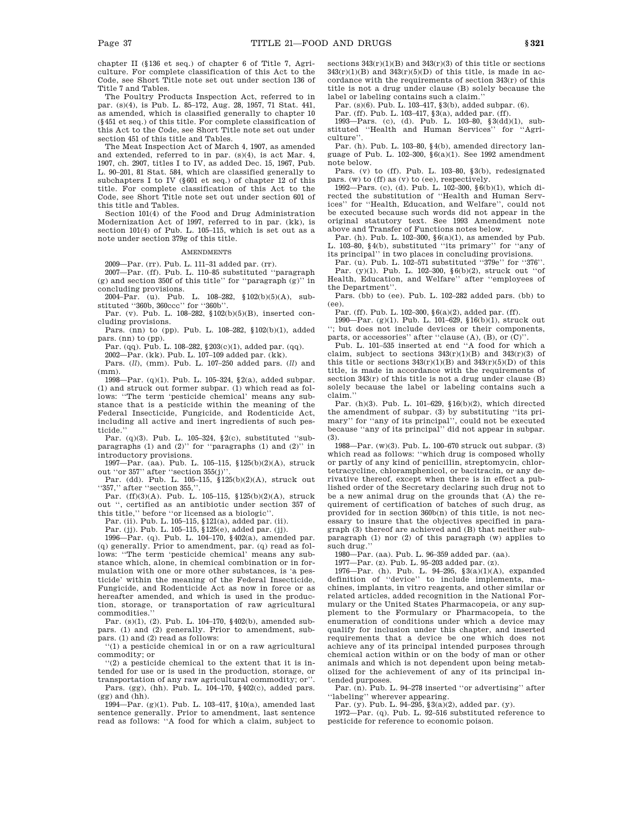chapter II (§136 et seq.) of chapter 6 of Title 7, Agriculture. For complete classification of this Act to the Code, see Short Title note set out under section 136 of Title 7 and Tables.

The Poultry Products Inspection Act, referred to in par. (s)(4), is Pub. L. 85–172, Aug. 28, 1957, 71 Stat. 441, as amended, which is classified generally to chapter 10 (§451 et seq.) of this title. For complete classification of this Act to the Code, see Short Title note set out under section 451 of this title and Tables.

The Meat Inspection Act of March 4, 1907, as amended and extended, referred to in par. (s)(4), is act Mar. 4, 1907, ch. 2907, titles I to IV, as added Dec. 15, 1967, Pub. L. 90–201, 81 Stat. 584, which are classified generally to subchapters I to IV (§601 et seq.) of chapter 12 of this title. For complete classification of this Act to the Code, see Short Title note set out under section 601 of this title and Tables.

Section 101(4) of the Food and Drug Administration Modernization Act of 1997, referred to in par. (kk), is section 101(4) of Pub. L. 105-115, which is set out as a note under section 379g of this title.

#### **AMENDMENTS**

2009—Par. (rr). Pub. L. 111–31 added par. (rr).

2007—Par. (ff). Pub. L. 110–85 substituted ''paragraph (g) and section 350f of this title'' for ''paragraph (g)'' in concluding provisions.

2004–Par. (u). Pub. L. 108–282, §102(b)(5)(A), substituted ''360b, 360ccc'' for ''360b''.

Par. (v). Pub. L. 108-282, §102(b)(5)(B), inserted concluding provisions.

Pars. (nn) to (pp). Pub. L. 108–282, §102(b)(1), added pars. (nn) to (pp). Par. (qq). Pub. L. 108–282, §203(c)(1), added par. (qq).

2002—Par. (kk). Pub. L. 107–109 added par. (kk).

Pars. (*ll*), (mm). Pub. L. 107–250 added pars. (*ll*) and (mm).

1998—Par. (q)(1). Pub. L. 105–324, §2(a), added subpar. (1) and struck out former subpar. (1) which read as follows: ''The term 'pesticide chemical' means any substance that is a pesticide within the meaning of the Federal Insecticide, Fungicide, and Rodenticide Act, including all active and inert ingredients of such pesticide.''

Par. (q)(3). Pub. L. 105–324, §2(c), substituted ''subparagraphs (1) and (2)'' for ''paragraphs (1) and (2)'' in introductory provisions.

1997—Par. (aa). Pub. L. 105–115, §125(b)(2)(A), struck out "or 357" after "section 355(j)".

Par. (dd). Pub. L. 105–115, §125(b)(2)(A), struck out "357," after "section 355,"

Par. (ff)(3)(A). Pub. L. 105–115, §125(b)(2)(A), struck out '', certified as an antibiotic under section 357 of this title,'' before ''or licensed as a biologic''.

Par. (ii). Pub. L. 105–115, §121(a), added par. (ii). Par. (jj). Pub. L. 105–115, §125(e), added par. (jj).

1996—Par. (q). Pub. L. 104–170, §402(a), amended par.  $(q)$  generally. Prior to amendment, par.  $(q)$  read as follows: ''The term 'pesticide chemical' means any substance which, alone, in chemical combination or in formulation with one or more other substances, is 'a pesticide' within the meaning of the Federal Insecticide, Fungicide, and Rodenticide Act as now in force or as hereafter amended, and which is used in the production, storage, or transportation of raw agricultural commodities.

Par. (s)(1), (2). Pub. L. 104–170, §402(b), amended subpars. (1) and (2) generally. Prior to amendment, subpars. (1) and (2) read as follows:

''(1) a pesticide chemical in or on a raw agricultural commodity; or

''(2) a pesticide chemical to the extent that it is intended for use or is used in the production, storage, or transportation of any raw agricultural commodity; or''.

Pars. (gg), (hh). Pub. L. 104–170, §402(c), added pars. (gg) and (hh).

1994—Par. (g)(1). Pub. L. 103–417, §10(a), amended last sentence generally. Prior to amendment, last sentence read as follows: ''A food for which a claim, subject to sections  $343(r)(1)(B)$  and  $343(r)(3)$  of this title or sections  $343(r)(1)(B)$  and  $343(r)(5)(D)$  of this title, is made in accordance with the requirements of section 343(r) of this title is not a drug under clause (B) solely because the label or labeling contains such a claim.''

Par. (s)(6). Pub. L. 103–417, §3(b), added subpar. (6).

Par. (ff). Pub. L. 103–417, §3(a), added par. (ff).

1993—Pars. (c), (d). Pub. L. 103–80, §3(dd)(1), substituted ''Health and Human Services'' for ''Agriculture''.

Par. (h). Pub. L. 103–80, §4(b), amended directory language of Pub. L. 102–300, §6(a)(1). See 1992 amendment note below.

Pars. (v) to (ff). Pub. L. 103–80, §3(b), redesignated pars. (w) to (ff) as (v) to (ee), respectively.

1992—Pars. (c), (d). Pub. L. 102–300, §6(b)(1), which directed the substitution of ''Health and Human Services'' for ''Health, Education, and Welfare'', could not be executed because such words did not appear in the original statutory text. See 1993 Amendment note above and Transfer of Functions notes below.

Par. (h). Pub. L. 102–300, §6(a)(1), as amended by Pub. L. 103–80, §4(b), substituted ''its primary'' for ''any of its principal'' in two places in concluding provisions.

Par. (u). Pub. L. 102–571 substituted ''379e'' for ''376''. Par. (y)(1). Pub. L. 102–300, §6(b)(2), struck out ''of Health, Education, and Welfare'' after ''employees of the Department''.

Pars. (bb) to (ee). Pub. L. 102–282 added pars. (bb) to (ee).

Par. (ff). Pub. L. 102–300, §6(a)(2), added par. (ff).

1990—Par. (g)(1). Pub. L. 101–629, §16(b)(1), struck out ''; but does not include devices or their components, parts, or accessories" after "clause (A), (B), or (C)"

Pub. L. 101–535 inserted at end ''A food for which a claim, subject to sections  $343(r)(1)(B)$  and  $343(r)(3)$  of this title or sections  $343(r)(1)(B)$  and  $343(r)(5)(D)$  of this title, is made in accordance with the requirements of section 343(r) of this title is not a drug under clause (B) solely because the label or labeling contains such a claim.''

Par. (h)(3). Pub. L. 101–629, §16(b)(2), which directed the amendment of subpar. (3) by substituting ''its primary'' for ''any of its principal'', could not be executed because ''any of its principal'' did not appear in subpar. (3).

1988—Par. (w)(3). Pub. L. 100–670 struck out subpar. (3) which read as follows: ''which drug is composed wholly or partly of any kind of penicillin, streptomycin, chlortetracycline, chloramphenicol, or bacitracin, or any derivative thereof, except when there is in effect a published order of the Secretary declaring such drug not to be a new animal drug on the grounds that (A) the requirement of certification of batches of such drug, as provided for in section 360b(n) of this title, is not necessary to insure that the objectives specified in paragraph (3) thereof are achieved and (B) that neither subparagraph (1) nor (2) of this paragraph (w) applies to such drug.''

1980—Par. (aa). Pub. L. 96–359 added par. (aa).

1977—Par. (z). Pub. L. 95–203 added par. (z).

1976—Par. (h). Pub. L. 94–295, §3(a)(1)(A), expanded definition of ''device'' to include implements, machines, implants, in vitro reagents, and other similar or related articles, added recognition in the National Formulary or the United States Pharmacopeia, or any supplement to the Formulary or Pharmacopeia, to the enumeration of conditions under which a device may qualify for inclusion under this chapter, and inserted requirements that a device be one which does not achieve any of its principal intended purposes through chemical action within or on the body of man or other animals and which is not dependent upon being metabolized for the achievement of any of its principal intended purposes.

Par. (n). Pub. L. 94–278 inserted ''or advertising'' after 'labeling'' wherever appearing.

Par. (y). Pub. L. 94–295, §3(a)(2), added par. (y). 1972—Par. (q). Pub. L. 92–516 substituted reference to pesticide for reference to economic poison.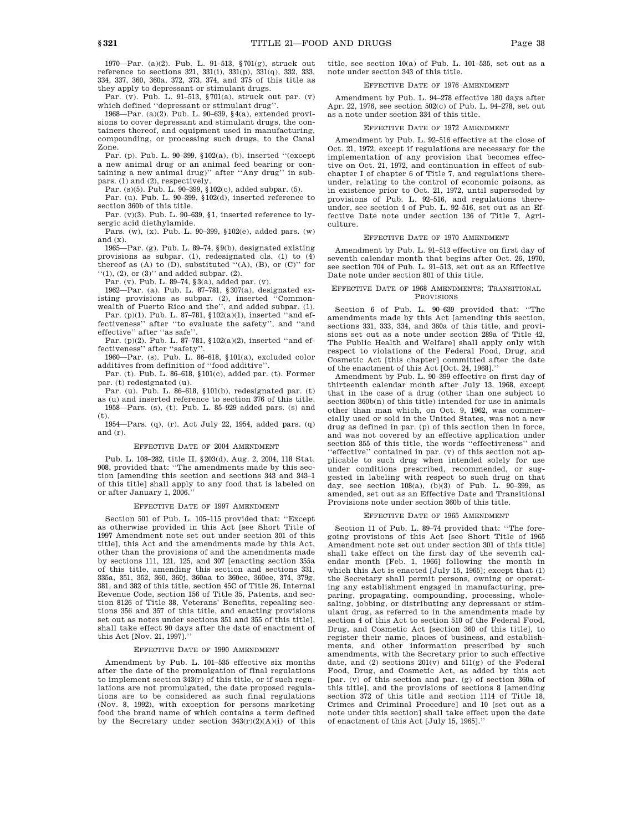1970—Par. (a)(2). Pub. L. 91–513, §701(g), struck out reference to sections 321, 331(i), 331(p), 331(q), 332, 333, 334, 337, 360, 360a, 372, 373, 374, and 375 of this title as they apply to depressant or stimulant drugs.

Par. (v). Pub. L. 91–513, §701(a), struck out par. (v) which defined ''depressant or stimulant drug''.

1968—Par. (a)(2). Pub. L. 90–639, §4(a), extended provisions to cover depressant and stimulant drugs, the containers thereof, and equipment used in manufacturing, compounding, or processing such drugs, to the Canal Zone.

Par. (p). Pub. L. 90–399, §102(a), (b), inserted ''(except a new animal drug or an animal feed bearing or containing a new animal drug)'' after ''Any drug'' in subpars. (1) and (2), respectively.

Par. (s)(5). Pub. L. 90–399, §102(c), added subpar. (5).

Par. (u). Pub. L. 90–399, §102(d), inserted reference to section 360b of this title.

Par.  $(v)(3)$ . Pub. L. 90–639, §1, inserted reference to lysergic acid diethylamide.

Pars. (w), (x). Pub. L. 90–399, §102(e), added pars. (w) and (x).

1965—Par. (g). Pub. L. 89–74, §9(b), designated existing provisions as subpar. (1), redesignated cls. (1) to (4) thereof as  $(A)$  to  $(D)$ , substituted " $(A)$ ,  $(B)$ , or  $(C)$ " for ''(1), (2), or (3)'' and added subpar. (2).

Par. (v). Pub. L. 89–74, §3(a), added par. (v).

1962—Par. (a). Pub. L. 87–781, §307(a), designated existing provisions as subpar. (2), inserted ''Commonwealth of Puerto Rico and the'', and added subpar. (1).

Par. (p)(1). Pub. L. 87–781, §102(a)(1), inserted ''and effectiveness'' after ''to evaluate the safety'', and ''and effective'' after ''as safe''.

Par. (p)(2). Pub. L. 87–781, §102(a)(2), inserted ''and effectiveness'' after ''safety''.

1960—Par. (s). Pub. L. 86–618, §101(a), excluded color additives from definition of ''food additive''.

Par. (t). Pub. L. 86–618, §101(c), added par. (t). Former par. (t) redesignated (u).

Par. (u). Pub. L. 86–618, §101(b), redesignated par. (t) as (u) and inserted reference to section 376 of this title. 1958—Pars. (s), (t). Pub. L. 85–929 added pars. (s) and

(t). 1954—Pars. (q), (r). Act July 22, 1954, added pars. (q) and (r).

#### EFFECTIVE DATE OF 2004 AMENDMENT

Pub. L. 108–282, title II, §203(d), Aug. 2, 2004, 118 Stat. 908, provided that: ''The amendments made by this section [amending this section and sections 343 and 343–1 of this title] shall apply to any food that is labeled on or after January 1, 2006.

## EFFECTIVE DATE OF 1997 AMENDMENT

Section 501 of Pub. L. 105–115 provided that: ''Except as otherwise provided in this Act [see Short Title of 1997 Amendment note set out under section 301 of this title], this Act and the amendments made by this Act, other than the provisions of and the amendments made by sections 111, 121, 125, and 307 [enacting section 355a of this title, amending this section and sections 331, 335a, 351, 352, 360, 360j, 360aa to 360cc, 360ee, 374, 379g, 381, and 382 of this title, section 45C of Title 26, Internal Revenue Code, section 156 of Title 35, Patents, and section 8126 of Title 38, Veterans' Benefits, repealing sections 356 and 357 of this title, and enacting provisions set out as notes under sections 351 and 355 of this title], shall take effect 90 days after the date of enactment of this Act [Nov. 21, 1997].''

#### EFFECTIVE DATE OF 1990 AMENDMENT

Amendment by Pub. L. 101–535 effective six months after the date of the promulgation of final regulations to implement section 343(r) of this title, or if such regulations are not promulgated, the date proposed regulations are to be considered as such final regulations (Nov. 8, 1992), with exception for persons marketing food the brand name of which contains a term defined by the Secretary under section 343(r)(2)(A)(i) of this title, see section 10(a) of Pub. L. 101–535, set out as a note under section 343 of this title.

## EFFECTIVE DATE OF 1976 AMENDMENT

Amendment by Pub. L. 94–278 effective 180 days after Apr. 22, 1976, see section 502(c) of Pub. L. 94–278, set out as a note under section 334 of this title.

### EFFECTIVE DATE OF 1972 AMENDMENT

Amendment by Pub. L. 92–516 effective at the close of Oct. 21, 1972, except if regulations are necessary for the implementation of any provision that becomes effective on Oct. 21, 1972, and continuation in effect of subchapter I of chapter 6 of Title 7, and regulations thereunder, relating to the control of economic poisons, as in existence prior to Oct. 21, 1972, until superseded by provisions of Pub. L. 92–516, and regulations thereunder, see section 4 of Pub. L. 92–516, set out as an Effective Date note under section 136 of Title 7, Agriculture.

### EFFECTIVE DATE OF 1970 AMENDMENT

Amendment by Pub. L. 91–513 effective on first day of seventh calendar month that begins after Oct. 26, 1970, see section 704 of Pub. L. 91–513, set out as an Effective Date note under section 801 of this title.

### EFFECTIVE DATE OF 1968 AMENDMENTS; TRANSITIONAL PROVISIONS

Section 6 of Pub. L. 90–639 provided that: ''The amendments made by this Act [amending this section, sections 331, 333, 334, and 360a of this title, and provisions set out as a note under section 289a of Title 42, The Public Health and Welfare] shall apply only with respect to violations of the Federal Food, Drug, and Cosmetic Act [this chapter] committed after the date of the enactment of this Act [Oct. 24, 1968].''

Amendment by Pub. L. 90–399 effective on first day of thirteenth calendar month after July 13, 1968, except that in the case of a drug (other than one subject to section 360b(n) of this title) intended for use in animals other than man which, on Oct. 9, 1962, was commercially used or sold in the United States, was not a new drug as defined in par. (p) of this section then in force, and was not covered by an effective application under section 355 of this title, the words ''effectiveness'' and ''effective'' contained in par. (v) of this section not applicable to such drug when intended solely for use under conditions prescribed, recommended, or suggested in labeling with respect to such drug on that day, see section 108(a), (b)(3) of Pub. L. 90–399, as amended, set out as an Effective Date and Transitional Provisions note under section 360b of this title.

### EFFECTIVE DATE OF 1965 AMENDMENT

Section 11 of Pub. L. 89–74 provided that: ''The foregoing provisions of this Act [see Short Title of 1965 Amendment note set out under section 301 of this title] shall take effect on the first day of the seventh calendar month [Feb. 1, 1966] following the month in which this Act is enacted [July 15, 1965]; except that (1) the Secretary shall permit persons, owning or operating any establishment engaged in manufacturing, preparing, propagating, compounding, processing, wholesaling, jobbing, or distributing any depressant or stimulant drug, as referred to in the amendments made by section 4 of this Act to section 510 of the Federal Food, Drug, and Cosmetic Act [section 360 of this title], to register their name, places of business, and establishments, and other information prescribed by such amendments, with the Secretary prior to such effective date, and  $(2)$  sections  $201(v)$  and  $511(g)$  of the Federal Food, Drug, and Cosmetic Act, as added by this act [par. (v) of this section and par. (g) of section 360a of this title], and the provisions of sections 8 [amending section 372 of this title and section 1114 of Title 18, Crimes and Criminal Procedure] and 10 [set out as a note under this section] shall take effect upon the date of enactment of this Act [July 15, 1965].''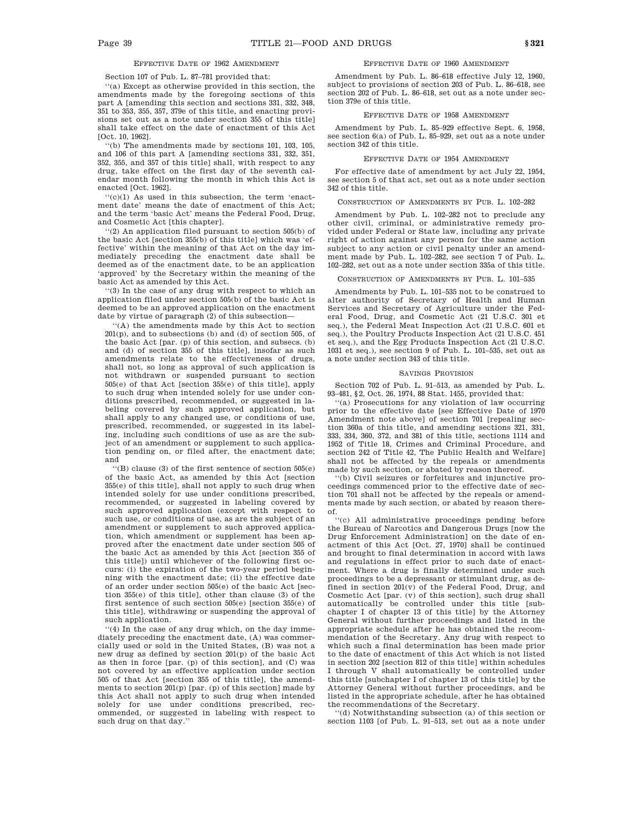# EFFECTIVE DATE OF 1962 AMENDMENT

Section 107 of Pub. L. 87–781 provided that:

''(a) Except as otherwise provided in this section, the amendments made by the foregoing sections of this part A [amending this section and sections 331, 332, 348, 351 to 353, 355, 357, 379e of this title, and enacting provisions set out as a note under section 355 of this title] shall take effect on the date of enactment of this Act [Oct. 10, 1962].

''(b) The amendments made by sections 101, 103, 105, and 106 of this part A [amending sections 331, 332, 351, 352, 355, and 357 of this title] shall, with respect to any drug, take effect on the first day of the seventh calendar month following the month in which this Act is enacted [Oct. 1962].

''(c)(1) As used in this subsection, the term 'enactment date' means the date of enactment of this Act; and the term 'basic Act' means the Federal Food, Drug, and Cosmetic Act [this chapter].

''(2) An application filed pursuant to section 505(b) of the basic Act [section 355(b) of this title] which was 'effective' within the meaning of that Act on the day immediately preceding the enactment date shall be deemed as of the enactment date, to be an application 'approved' by the Secretary within the meaning of the basic Act as amended by this Act.

''(3) In the case of any drug with respect to which an application filed under section 505(b) of the basic Act is deemed to be an approved application on the enactment date by virtue of paragraph  $(2)$  of this subsection-

''(A) the amendments made by this Act to section 201(p), and to subsections (b) and (d) of section 505, of the basic Act [par. (p) of this section, and subsecs. (b) and (d) of section 355 of this title], insofar as such amendments relate to the effectiveness of drugs, shall not, so long as approval of such application is not withdrawn or suspended pursuant to section 505(e) of that Act [section 355(e) of this title], apply to such drug when intended solely for use under conditions prescribed, recommended, or suggested in labeling covered by such approved application, but shall apply to any changed use, or conditions of use, prescribed, recommended, or suggested in its labeling, including such conditions of use as are the subject of an amendment or supplement to such application pending on, or filed after, the enactment date; and

''(B) clause (3) of the first sentence of section 505(e) of the basic Act, as amended by this Act [section 355(e) of this title], shall not apply to such drug when intended solely for use under conditions prescribed, recommended, or suggested in labeling covered by such approved application (except with respect to such use, or conditions of use, as are the subject of an amendment or supplement to such approved application, which amendment or supplement has been approved after the enactment date under section 505 of the basic Act as amended by this Act [section 355 of this title]) until whichever of the following first occurs: (i) the expiration of the two-year period beginning with the enactment date; (ii) the effective date of an order under section 505(e) of the basic Act [section 355(e) of this title], other than clause (3) of the first sentence of such section 505(e) [section 355(e) of this title], withdrawing or suspending the approval of such application.

''(4) In the case of any drug which, on the day immediately preceding the enactment date, (A) was commercially used or sold in the United States, (B) was not a new drug as defined by section 201(p) of the basic Act as then in force  $\lceil \text{par}(p) \rceil$  of this section, and  $\lceil \text{C} \rceil$  was not covered by an effective application under section 505 of that Act [section 355 of this title], the amendments to section 201(p) [par. (p) of this section] made by this Act shall not apply to such drug when intended solely for use under conditions prescribed, recommended, or suggested in labeling with respect to such drug on that day.''

### EFFECTIVE DATE OF 1960 AMENDMENT

Amendment by Pub. L. 86–618 effective July 12, 1960, subject to provisions of section 203 of Pub. L. 86–618, see section 202 of Pub. L. 86–618, set out as a note under section 379e of this title.

### EFFECTIVE DATE OF 1958 AMENDMENT

Amendment by Pub. L. 85–929 effective Sept. 6, 1958, see section 6(a) of Pub. L. 85–929, set out as a note under section 342 of this title.

#### EFFECTIVE DATE OF 1954 AMENDMENT

For effective date of amendment by act July 22, 1954, see section 5 of that act, set out as a note under section 342 of this title.

#### CONSTRUCTION OF AMENDMENTS BY PUB. L. 102–282

Amendment by Pub. L. 102–282 not to preclude any other civil, criminal, or administrative remedy provided under Federal or State law, including any private right of action against any person for the same action subject to any action or civil penalty under an amendment made by Pub. L. 102–282, see section 7 of Pub. L. 102–282, set out as a note under section 335a of this title.

## CONSTRUCTION OF AMENDMENTS BY PUB. L. 101–535

Amendments by Pub. L. 101–535 not to be construed to alter authority of Secretary of Health and Human Services and Secretary of Agriculture under the Federal Food, Drug, and Cosmetic Act (21 U.S.C. 301 et seq.), the Federal Meat Inspection Act (21 U.S.C. 601 et seq.), the Poultry Products Inspection Act (21 U.S.C. 451 et seq.), and the Egg Products Inspection Act (21 U.S.C. 1031 et seq.), see section 9 of Pub. L. 101–535, set out as a note under section 343 of this title.

#### SAVINGS PROVISION

Section 702 of Pub. L. 91–513, as amended by Pub. L. 93–481, §2, Oct. 26, 1974, 88 Stat. 1455, provided that:

''(a) Prosecutions for any violation of law occurring prior to the effective date [see Effective Date of 1970 Amendment note above] of section 701 [repealing section 360a of this title, and amending sections 321, 331, 333, 334, 360, 372, and 381 of this title, sections 1114 and 1952 of Title 18, Crimes and Criminal Procedure, and section 242 of Title 42, The Public Health and Welfare] shall not be affected by the repeals or amendments made by such section, or abated by reason thereof.

''(b) Civil seizures or forfeitures and injunctive proceedings commenced prior to the effective date of section 701 shall not be affected by the repeals or amendments made by such section, or abated by reason thereof.

''(c) All administrative proceedings pending before the Bureau of Narcotics and Dangerous Drugs [now the Drug Enforcement Administration] on the date of enactment of this Act [Oct. 27, 1970] shall be continued and brought to final determination in accord with laws and regulations in effect prior to such date of enactment. Where a drug is finally determined under such proceedings to be a depressant or stimulant drug, as defined in section  $201(v)$  of the Federal Food, Drug, and Cosmetic Act [par. (v) of this section], such drug shall automatically be controlled under this title [subchapter I of chapter 13 of this title] by the Attorney General without further proceedings and listed in the appropriate schedule after he has obtained the recommendation of the Secretary. Any drug with respect to which such a final determination has been made prior to the date of enactment of this Act which is not listed in section 202 [section 812 of this title] within schedules I through V shall automatically be controlled under this title [subchapter I of chapter 13 of this title] by the Attorney General without further proceedings, and be listed in the appropriate schedule, after he has obtained the recommendations of the Secretary.

''(d) Notwithstanding subsection (a) of this section or section 1103 [of Pub. L. 91–513, set out as a note under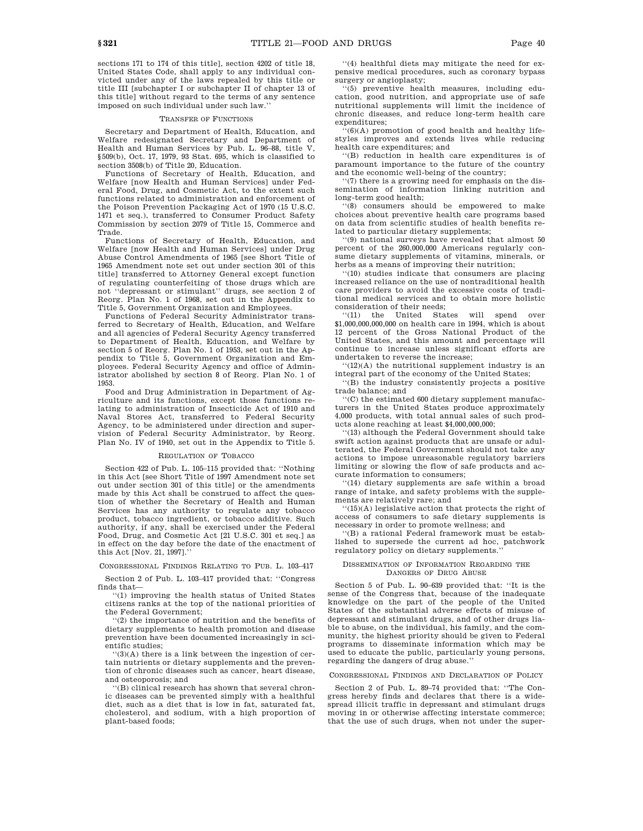sections 171 to 174 of this title], section 4202 of title 18, United States Code, shall apply to any individual convicted under any of the laws repealed by this title or title III [subchapter I or subchapter II of chapter 13 of this title] without regard to the terms of any sentence imposed on such individual under such law.''

## TRANSFER OF FUNCTIONS

Secretary and Department of Health, Education, and Welfare redesignated Secretary and Department of Health and Human Services by Pub. L. 96–88, title V, §509(b), Oct. 17, 1979, 93 Stat. 695, which is classified to section 3508(b) of Title 20, Education.

Functions of Secretary of Health, Education, and Welfare [now Health and Human Services] under Federal Food, Drug, and Cosmetic Act, to the extent such functions related to administration and enforcement of the Poison Prevention Packaging Act of 1970 (15 U.S.C. 1471 et seq.), transferred to Consumer Product Safety Commission by section 2079 of Title 15, Commerce and Trade.

Functions of Secretary of Health, Education, and Welfare [now Health and Human Services] under Drug Abuse Control Amendments of 1965 [see Short Title of 1965 Amendment note set out under section 301 of this title] transferred to Attorney General except function of regulating counterfeiting of those drugs which are not ''depressant or stimulant'' drugs, see section 2 of Reorg. Plan No. 1 of 1968, set out in the Appendix to Title 5, Government Organization and Employees.

Functions of Federal Security Administrator transferred to Secretary of Health, Education, and Welfare and all agencies of Federal Security Agency transferred to Department of Health, Education, and Welfare by section 5 of Reorg. Plan No. 1 of 1953, set out in the Appendix to Title 5, Government Organization and Employees. Federal Security Agency and office of Administrator abolished by section 8 of Reorg. Plan No. 1 of 1953.

Food and Drug Administration in Department of Agriculture and its functions, except those functions relating to administration of Insecticide Act of 1910 and Naval Stores Act, transferred to Federal Security Agency, to be administered under direction and supervision of Federal Security Administrator, by Reorg. Plan No. IV of 1940, set out in the Appendix to Title 5.

### REGULATION OF TOBACCO

Section 422 of Pub. L. 105–115 provided that: ''Nothing in this Act [see Short Title of 1997 Amendment note set out under section 301 of this title] or the amendments made by this Act shall be construed to affect the question of whether the Secretary of Health and Human Services has any authority to regulate any tobacco product, tobacco ingredient, or tobacco additive. Such authority, if any, shall be exercised under the Federal Food, Drug, and Cosmetic Act [21 U.S.C. 301 et seq.] as in effect on the day before the date of the enactment of this Act [Nov. 21, 1997].''

### CONGRESSIONAL FINDINGS RELATING TO PUB. L. 103–417

Section 2 of Pub. L. 103–417 provided that: ''Congress finds that—

''(1) improving the health status of United States citizens ranks at the top of the national priorities of the Federal Government;

''(2) the importance of nutrition and the benefits of dietary supplements to health promotion and disease prevention have been documented increasingly in scientific studies;

''(3)(A) there is a link between the ingestion of certain nutrients or dietary supplements and the prevention of chronic diseases such as cancer, heart disease, and osteoporosis; and

''(B) clinical research has shown that several chronic diseases can be prevented simply with a healthful diet, such as a diet that is low in fat, saturated fat, cholesterol, and sodium, with a high proportion of plant-based foods;

''(4) healthful diets may mitigate the need for expensive medical procedures, such as coronary bypass surgery or angioplasty;

''(5) preventive health measures, including education, good nutrition, and appropriate use of safe nutritional supplements will limit the incidence of chronic diseases, and reduce long-term health care expenditures;

 $(6)(A)$  promotion of good health and healthy lifestyles improves and extends lives while reducing health care expenditures; and

''(B) reduction in health care expenditures is of paramount importance to the future of the country and the economic well-being of the country;

''(7) there is a growing need for emphasis on the dissemination of information linking nutrition and long-term good health;

'(8) consumers should be empowered to make choices about preventive health care programs based on data from scientific studies of health benefits related to particular dietary supplements;

''(9) national surveys have revealed that almost 50 percent of the 260,000,000 Americans regularly consume dietary supplements of vitamins, minerals, or herbs as a means of improving their nutrition;

''(10) studies indicate that consumers are placing increased reliance on the use of nontraditional health care providers to avoid the excessive costs of traditional medical services and to obtain more holistic consideration of their needs;<br>"(11) the United Sta

United States will spend over \$1,000,000,000,000 on health care in 1994, which is about 12 percent of the Gross National Product of the United States, and this amount and percentage will continue to increase unless significant efforts are undertaken to reverse the increase;

 $''(12)(A)$  the nutritional supplement industry is an integral part of the economy of the United States;

''(B) the industry consistently projects a positive trade balance; and

''(C) the estimated 600 dietary supplement manufacturers in the United States produce approximately 4,000 products, with total annual sales of such products alone reaching at least \$4,000,000,000;

'(13) although the Federal Government should take swift action against products that are unsafe or adulterated, the Federal Government should not take any actions to impose unreasonable regulatory barriers limiting or slowing the flow of safe products and accurate information to consumers;

''(14) dietary supplements are safe within a broad range of intake, and safety problems with the supplements are relatively rare; and

''(15)(A) legislative action that protects the right of access of consumers to safe dietary supplements is necessary in order to promote wellness; and

''(B) a rational Federal framework must be established to supersede the current ad hoc, patchwork regulatory policy on dietary supplements.

### DISSEMINATION OF INFORMATION REGARDING THE DANGERS OF DRUG ABUSE

Section 5 of Pub. L. 90–639 provided that: ''It is the sense of the Congress that, because of the inadequate knowledge on the part of the people of the United States of the substantial adverse effects of misuse of depressant and stimulant drugs, and of other drugs liable to abuse, on the individual, his family, and the community, the highest priority should be given to Federal programs to disseminate information which may be used to educate the public, particularly young persons, regarding the dangers of drug abuse.''

### CONGRESSIONAL FINDINGS AND DECLARATION OF POLICY

Section 2 of Pub. L. 89–74 provided that: ''The Congress hereby finds and declares that there is a widespread illicit traffic in depressant and stimulant drugs moving in or otherwise affecting interstate commerce; that the use of such drugs, when not under the super